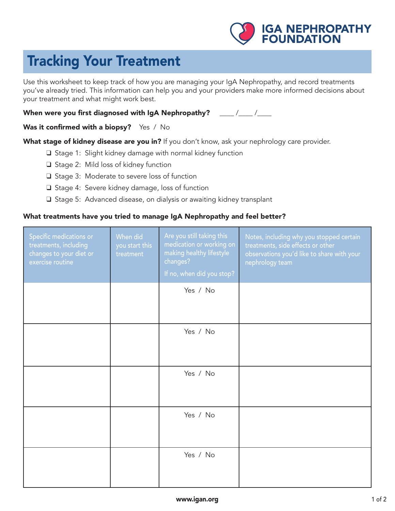

## Tracking Your Treatment

Use this worksheet to keep track of how you are managing your IgA Nephropathy, and record treatments you've already tried. This information can help you and your providers make more informed decisions about your treatment and what might work best.

When were you first diagnosed with IgA Nephropathy? \_\_\_\_ /\_\_\_ /\_\_\_

Was it confirmed with a biopsy? Yes / No

What stage of kidney disease are you in? If you don't know, ask your nephrology care provider.

- $\square$  Stage 1: Slight kidney damage with normal kidney function
- $\Box$  Stage 2: Mild loss of kidney function
- $\Box$  Stage 3: Moderate to severe loss of function
- □ Stage 4: Severe kidney damage, loss of function
- $\square$  Stage 5: Advanced disease, on dialysis or awaiting kidney transplant

## What treatments have you tried to manage IgA Nephropathy and feel better?

| Specific medications or<br>treatments, including<br>changes to your diet or<br>exercise routine | When did<br>you start this<br>treatment | Are you still taking this<br>medication or working on<br>making healthy lifestyle<br>changes?<br>If no, when did you stop? | Notes, including why you stopped certain<br>treatments, side effects or other<br>observations you'd like to share with your<br>nephrology team |
|-------------------------------------------------------------------------------------------------|-----------------------------------------|----------------------------------------------------------------------------------------------------------------------------|------------------------------------------------------------------------------------------------------------------------------------------------|
|                                                                                                 |                                         | Yes / No                                                                                                                   |                                                                                                                                                |
|                                                                                                 |                                         | Yes / No                                                                                                                   |                                                                                                                                                |
|                                                                                                 |                                         | Yes / No                                                                                                                   |                                                                                                                                                |
|                                                                                                 |                                         | Yes / No                                                                                                                   |                                                                                                                                                |
|                                                                                                 |                                         | Yes / No                                                                                                                   |                                                                                                                                                |